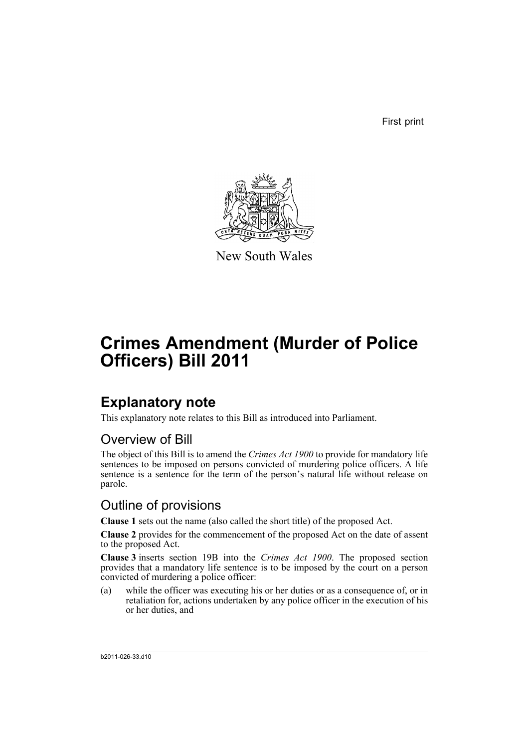First print



New South Wales

# **Crimes Amendment (Murder of Police Officers) Bill 2011**

### **Explanatory note**

This explanatory note relates to this Bill as introduced into Parliament.

#### Overview of Bill

The object of this Bill is to amend the *Crimes Act 1900* to provide for mandatory life sentences to be imposed on persons convicted of murdering police officers. A life sentence is a sentence for the term of the person's natural life without release on parole.

#### Outline of provisions

**Clause 1** sets out the name (also called the short title) of the proposed Act.

**Clause 2** provides for the commencement of the proposed Act on the date of assent to the proposed Act.

**Clause 3** inserts section 19B into the *Crimes Act 1900*. The proposed section provides that a mandatory life sentence is to be imposed by the court on a person convicted of murdering a police officer:

(a) while the officer was executing his or her duties or as a consequence of, or in retaliation for, actions undertaken by any police officer in the execution of his or her duties, and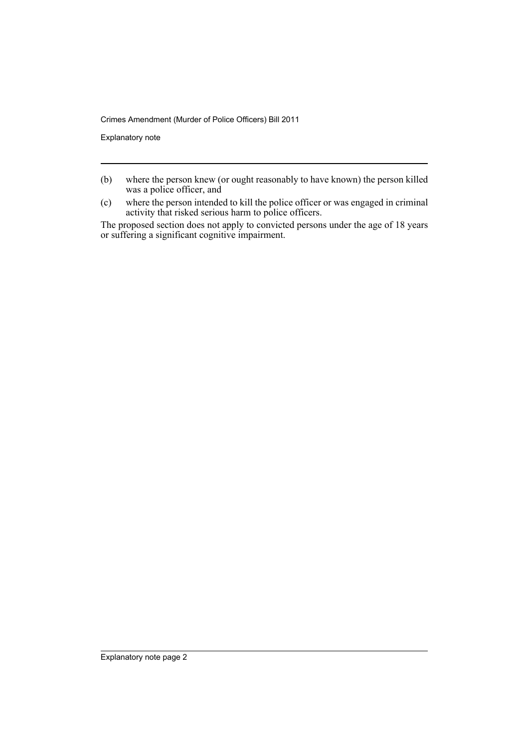Crimes Amendment (Murder of Police Officers) Bill 2011

Explanatory note

- (b) where the person knew (or ought reasonably to have known) the person killed was a police officer, and
- (c) where the person intended to kill the police officer or was engaged in criminal activity that risked serious harm to police officers.

The proposed section does not apply to convicted persons under the age of 18 years or suffering a significant cognitive impairment.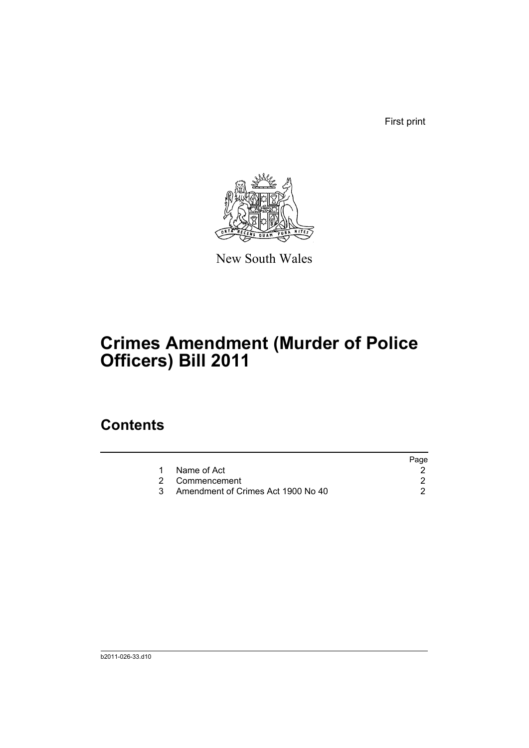First print



New South Wales

# **Crimes Amendment (Murder of Police Officers) Bill 2011**

### **Contents**

| Page |
|------|
|      |
|      |
|      |
|      |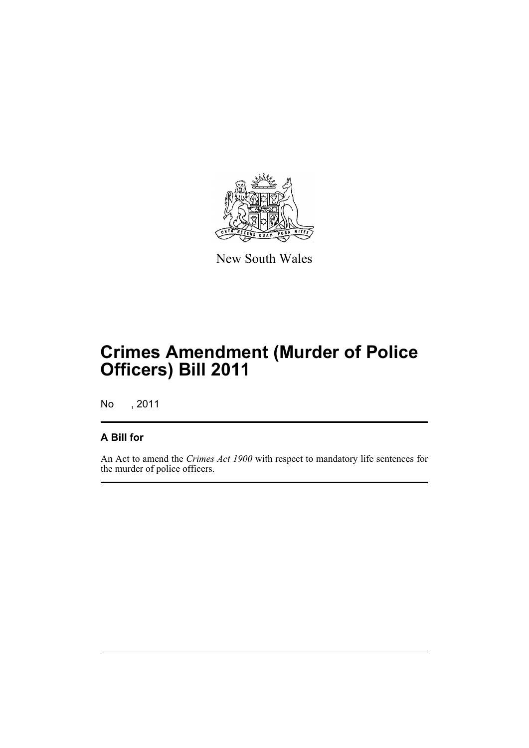

New South Wales

## **Crimes Amendment (Murder of Police Officers) Bill 2011**

No , 2011

#### **A Bill for**

An Act to amend the *Crimes Act 1900* with respect to mandatory life sentences for the murder of police officers.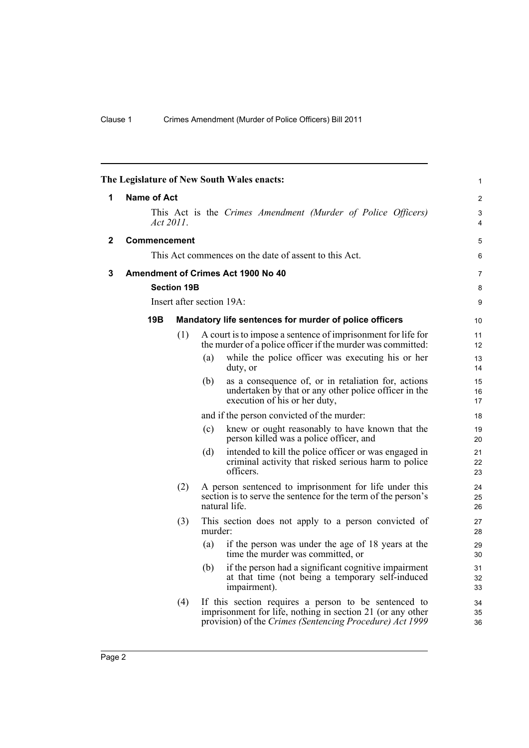<span id="page-5-2"></span><span id="page-5-1"></span><span id="page-5-0"></span>

| The Legislature of New South Wales enacts: |                                                                           |                    |                                                                                                                                          |                                                                                                                                                                                | $\mathbf{1}$   |
|--------------------------------------------|---------------------------------------------------------------------------|--------------------|------------------------------------------------------------------------------------------------------------------------------------------|--------------------------------------------------------------------------------------------------------------------------------------------------------------------------------|----------------|
| 1                                          | <b>Name of Act</b>                                                        |                    |                                                                                                                                          |                                                                                                                                                                                | $\overline{2}$ |
|                                            | This Act is the Crimes Amendment (Murder of Police Officers)<br>Act 2011. |                    |                                                                                                                                          |                                                                                                                                                                                |                |
| 2                                          | <b>Commencement</b>                                                       |                    |                                                                                                                                          |                                                                                                                                                                                | 5              |
|                                            | This Act commences on the date of assent to this Act.                     |                    |                                                                                                                                          |                                                                                                                                                                                |                |
| 3                                          |                                                                           |                    |                                                                                                                                          | <b>Amendment of Crimes Act 1900 No 40</b>                                                                                                                                      | 7              |
|                                            |                                                                           | <b>Section 19B</b> |                                                                                                                                          |                                                                                                                                                                                | 8              |
|                                            |                                                                           |                    |                                                                                                                                          | Insert after section 19A:                                                                                                                                                      | 9              |
|                                            | 19B<br>Mandatory life sentences for murder of police officers             |                    |                                                                                                                                          |                                                                                                                                                                                | 10             |
|                                            |                                                                           | (1)                |                                                                                                                                          | A court is to impose a sentence of imprisonment for life for<br>the murder of a police officer if the murder was committed:                                                    | 11<br>12       |
|                                            |                                                                           |                    | (a)                                                                                                                                      | while the police officer was executing his or her<br>duty, or                                                                                                                  | 13<br>14       |
|                                            |                                                                           |                    | (b)                                                                                                                                      | as a consequence of, or in retaliation for, actions<br>undertaken by that or any other police officer in the<br>execution of his or her duty,                                  | 15<br>16<br>17 |
|                                            |                                                                           |                    |                                                                                                                                          | and if the person convicted of the murder:                                                                                                                                     | 18             |
|                                            |                                                                           |                    | (c)                                                                                                                                      | knew or ought reasonably to have known that the<br>person killed was a police officer, and                                                                                     | 19<br>20       |
|                                            |                                                                           |                    | (d)                                                                                                                                      | intended to kill the police officer or was engaged in<br>criminal activity that risked serious harm to police<br>officers.                                                     | 21<br>22<br>23 |
|                                            |                                                                           | (2)                | A person sentenced to imprisonment for life under this<br>section is to serve the sentence for the term of the person's<br>natural life. |                                                                                                                                                                                | 24<br>25<br>26 |
| (3)                                        |                                                                           | murder:            | This section does not apply to a person convicted of                                                                                     | 27<br>28                                                                                                                                                                       |                |
|                                            |                                                                           |                    | (a)                                                                                                                                      | if the person was under the age of 18 years at the<br>time the murder was committed, or                                                                                        | 29<br>30       |
|                                            |                                                                           |                    | (b)                                                                                                                                      | if the person had a significant cognitive impairment<br>at that time (not being a temporary self-induced<br>impairment).                                                       | 31<br>32<br>33 |
|                                            |                                                                           | (4)                |                                                                                                                                          | If this section requires a person to be sentenced to<br>imprisonment for life, nothing in section 21 (or any other<br>provision) of the Crimes (Sentencing Procedure) Act 1999 | 34<br>35<br>36 |